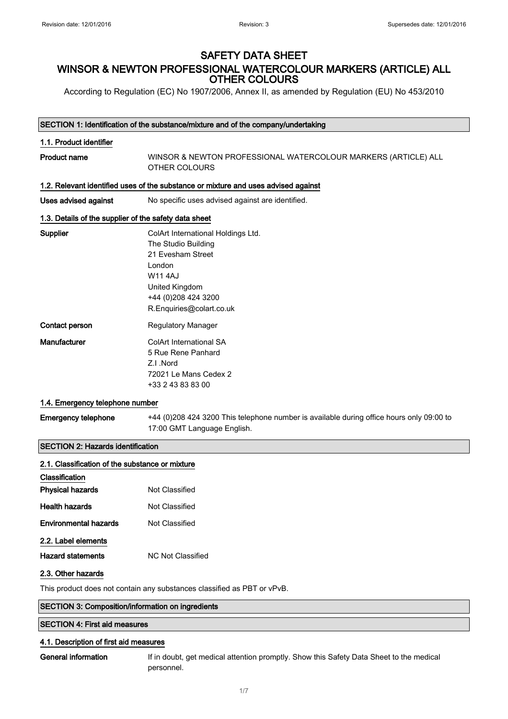# SAFETY DATA SHEET WINSOR & NEWTON PROFESSIONAL WATERCOLOUR MARKERS (ARTICLE) ALL OTHER COLOURS

According to Regulation (EC) No 1907/2006, Annex II, as amended by Regulation (EU) No 453/2010

#### SECTION 1: Identification of the substance/mixture and of the company/undertaking

## 1.1. Product identifier

Product name WINSOR & NEWTON PROFESSIONAL WATERCOLOUR MARKERS (ARTICLE) ALL OTHER COLOURS

#### 1.2. Relevant identified uses of the substance or mixture and uses advised against

Uses advised against **No specific uses advised against are identified.** 

## 1.3. Details of the supplier of the safety data sheet

| Supplier       | ColArt International Holdings Ltd. |
|----------------|------------------------------------|
|                | The Studio Building                |
|                | 21 Fyesham Street                  |
|                | London                             |
|                | W11 4A.I                           |
|                | United Kingdom                     |
|                | +44 (0) 208 424 3200               |
|                | R.Enquiries@colart.co.uk           |
| Contact person | Regulatory Manager                 |
| Manufacturer   | ColArt International SA            |
|                | 5 Rue Rene Panhard                 |
|                | 7.I Nord                           |
|                | 72021 Le Mans Cedex 2              |
|                | +33 2 43 83 83 00                  |

#### 1.4. Emergency telephone number

Emergency telephone +44 (0)208 424 3200 This telephone number is available during office hours only 09:00 to 17:00 GMT Language English.

## SECTION 2: Hazards identification

| 2.1. Classification of the substance or mixture |                                                                        |
|-------------------------------------------------|------------------------------------------------------------------------|
| <b>Classification</b>                           |                                                                        |
| <b>Physical hazards</b>                         | Not Classified                                                         |
| <b>Health hazards</b>                           | Not Classified                                                         |
| <b>Environmental hazards</b>                    | Not Classified                                                         |
| 2.2. Label elements                             |                                                                        |
| <b>Hazard statements</b>                        | <b>NC Not Classified</b>                                               |
| 2.3. Other hazards                              |                                                                        |
|                                                 | This product does not contain any substances classified as PBT or yPyB |

ot contain any

#### SECTION 3: Composition/information on ingredients

## SECTION 4: First aid measures

#### 4.1. Description of first aid measures

General information If in doubt, get medical attention promptly. Show this Safety Data Sheet to the medical personnel.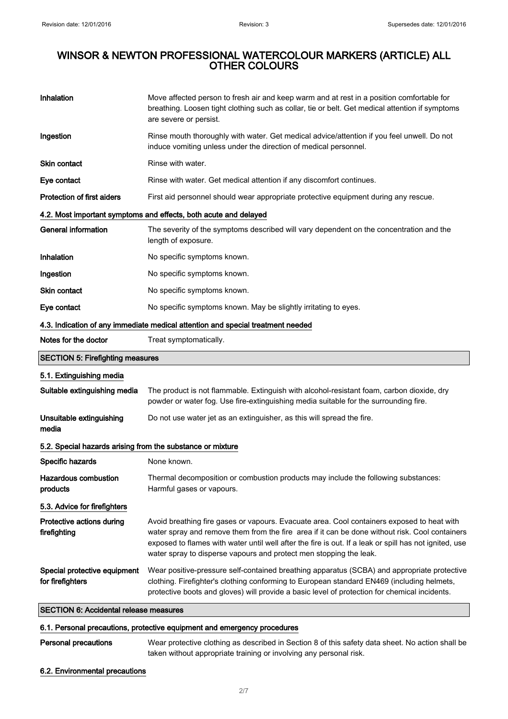| Inhalation                                                                      | Move affected person to fresh air and keep warm and at rest in a position comfortable for<br>breathing. Loosen tight clothing such as collar, tie or belt. Get medical attention if symptoms<br>are severe or persist.                                                                                                                                                       |
|---------------------------------------------------------------------------------|------------------------------------------------------------------------------------------------------------------------------------------------------------------------------------------------------------------------------------------------------------------------------------------------------------------------------------------------------------------------------|
| Ingestion                                                                       | Rinse mouth thoroughly with water. Get medical advice/attention if you feel unwell. Do not<br>induce vomiting unless under the direction of medical personnel.                                                                                                                                                                                                               |
| <b>Skin contact</b>                                                             | Rinse with water.                                                                                                                                                                                                                                                                                                                                                            |
| Eye contact                                                                     | Rinse with water. Get medical attention if any discomfort continues.                                                                                                                                                                                                                                                                                                         |
| <b>Protection of first aiders</b>                                               | First aid personnel should wear appropriate protective equipment during any rescue.                                                                                                                                                                                                                                                                                          |
|                                                                                 | 4.2. Most important symptoms and effects, both acute and delayed                                                                                                                                                                                                                                                                                                             |
| <b>General information</b>                                                      | The severity of the symptoms described will vary dependent on the concentration and the<br>length of exposure.                                                                                                                                                                                                                                                               |
| Inhalation                                                                      | No specific symptoms known.                                                                                                                                                                                                                                                                                                                                                  |
| Ingestion                                                                       | No specific symptoms known.                                                                                                                                                                                                                                                                                                                                                  |
| <b>Skin contact</b>                                                             | No specific symptoms known.                                                                                                                                                                                                                                                                                                                                                  |
| Eye contact                                                                     | No specific symptoms known. May be slightly irritating to eyes.                                                                                                                                                                                                                                                                                                              |
| 4.3. Indication of any immediate medical attention and special treatment needed |                                                                                                                                                                                                                                                                                                                                                                              |
| Notes for the doctor                                                            | Treat symptomatically.                                                                                                                                                                                                                                                                                                                                                       |
| <b>SECTION 5: Firefighting measures</b>                                         |                                                                                                                                                                                                                                                                                                                                                                              |
| 5.1. Extinguishing media                                                        |                                                                                                                                                                                                                                                                                                                                                                              |
| Suitable extinguishing media                                                    | The product is not flammable. Extinguish with alcohol-resistant foam, carbon dioxide, dry<br>powder or water fog. Use fire-extinguishing media suitable for the surrounding fire.                                                                                                                                                                                            |
| Unsuitable extinguishing<br>media                                               | Do not use water jet as an extinguisher, as this will spread the fire.                                                                                                                                                                                                                                                                                                       |
| 5.2. Special hazards arising from the substance or mixture                      |                                                                                                                                                                                                                                                                                                                                                                              |
| Specific hazards                                                                | None known.                                                                                                                                                                                                                                                                                                                                                                  |
| <b>Hazardous combustion</b><br>products                                         | Thermal decomposition or combustion products may include the following substances:<br>Harmful gases or vapours.                                                                                                                                                                                                                                                              |
| 5.3. Advice for firefighters                                                    |                                                                                                                                                                                                                                                                                                                                                                              |
| Protective actions during<br>firefighting                                       | Avoid breathing fire gases or vapours. Evacuate area. Cool containers exposed to heat with<br>water spray and remove them from the fire area if it can be done without risk. Cool containers<br>exposed to flames with water until well after the fire is out. If a leak or spill has not ignited, use<br>water spray to disperse vapours and protect men stopping the leak. |
| Special protective equipment<br>for firefighters                                | Wear positive-pressure self-contained breathing apparatus (SCBA) and appropriate protective<br>clothing. Firefighter's clothing conforming to European standard EN469 (including helmets,<br>protective boots and gloves) will provide a basic level of protection for chemical incidents.                                                                                   |
| <b>SECTION 6: Accidental release measures</b>                                   |                                                                                                                                                                                                                                                                                                                                                                              |

## 6.1. Personal precautions, protective equipment and emergency procedures

| Personal precautions | Wear protective clothing as described in Section 8 of this safety data sheet. No action shall be |
|----------------------|--------------------------------------------------------------------------------------------------|
|                      | taken without appropriate training or involving any personal risk.                               |

## 6.2. Environmental precautions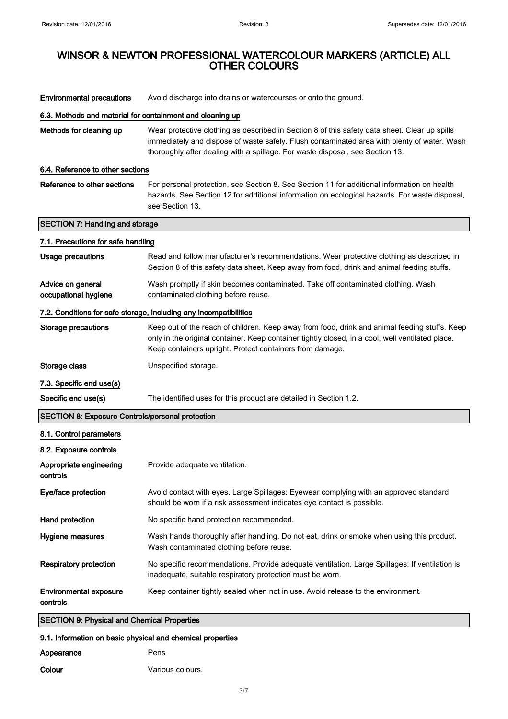| <b>Environmental precautions</b>                                  | Avoid discharge into drains or watercourses or onto the ground.                                                                                                                                                                                                               |  |
|-------------------------------------------------------------------|-------------------------------------------------------------------------------------------------------------------------------------------------------------------------------------------------------------------------------------------------------------------------------|--|
| 6.3. Methods and material for containment and cleaning up         |                                                                                                                                                                                                                                                                               |  |
| Methods for cleaning up                                           | Wear protective clothing as described in Section 8 of this safety data sheet. Clear up spills<br>immediately and dispose of waste safely. Flush contaminated area with plenty of water. Wash<br>thoroughly after dealing with a spillage. For waste disposal, see Section 13. |  |
| 6.4. Reference to other sections                                  |                                                                                                                                                                                                                                                                               |  |
| Reference to other sections                                       | For personal protection, see Section 8. See Section 11 for additional information on health<br>hazards. See Section 12 for additional information on ecological hazards. For waste disposal,<br>see Section 13.                                                               |  |
| <b>SECTION 7: Handling and storage</b>                            |                                                                                                                                                                                                                                                                               |  |
| 7.1. Precautions for safe handling                                |                                                                                                                                                                                                                                                                               |  |
| <b>Usage precautions</b>                                          | Read and follow manufacturer's recommendations. Wear protective clothing as described in<br>Section 8 of this safety data sheet. Keep away from food, drink and animal feeding stuffs.                                                                                        |  |
| Advice on general<br>occupational hygiene                         | Wash promptly if skin becomes contaminated. Take off contaminated clothing. Wash<br>contaminated clothing before reuse.                                                                                                                                                       |  |
| 7.2. Conditions for safe storage, including any incompatibilities |                                                                                                                                                                                                                                                                               |  |
| <b>Storage precautions</b>                                        | Keep out of the reach of children. Keep away from food, drink and animal feeding stuffs. Keep<br>only in the original container. Keep container tightly closed, in a cool, well ventilated place.<br>Keep containers upright. Protect containers from damage.                 |  |
| Storage class                                                     | Unspecified storage.                                                                                                                                                                                                                                                          |  |
| 7.3. Specific end use(s)                                          |                                                                                                                                                                                                                                                                               |  |
| Specific end use(s)                                               | The identified uses for this product are detailed in Section 1.2.                                                                                                                                                                                                             |  |
| <b>SECTION 8: Exposure Controls/personal protection</b>           |                                                                                                                                                                                                                                                                               |  |
| 8.1. Control parameters                                           |                                                                                                                                                                                                                                                                               |  |
| 8.2. Exposure controls                                            |                                                                                                                                                                                                                                                                               |  |
| Appropriate engineering<br>controls                               | Provide adequate ventilation.                                                                                                                                                                                                                                                 |  |
| Eye/face protection                                               | Avoid contact with eyes. Large Spillages: Eyewear complying with an approved standard<br>should be worn if a risk assessment indicates eye contact is possible.                                                                                                               |  |
| Hand protection                                                   | No specific hand protection recommended.                                                                                                                                                                                                                                      |  |
| Hygiene measures                                                  | Wash hands thoroughly after handling. Do not eat, drink or smoke when using this product.<br>Wash contaminated clothing before reuse.                                                                                                                                         |  |
| <b>Respiratory protection</b>                                     | No specific recommendations. Provide adequate ventilation. Large Spillages: If ventilation is<br>inadequate, suitable respiratory protection must be worn.                                                                                                                    |  |
| <b>Environmental exposure</b><br>controls                         | Keep container tightly sealed when not in use. Avoid release to the environment.                                                                                                                                                                                              |  |
| <b>SECTION 9: Physical and Chemical Properties</b>                |                                                                                                                                                                                                                                                                               |  |
| 9.1. Information on basic physical and chemical properties        |                                                                                                                                                                                                                                                                               |  |

| Appearance | Pens             |
|------------|------------------|
| Colour     | Various colours. |

3/ 7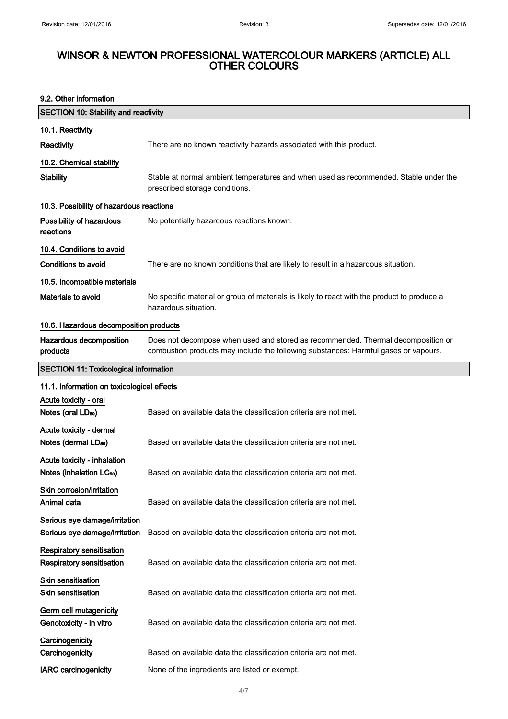## 9.2. Other information

| <b>SECTION 10: Stability and reactivity</b>                          |                                                                                                                                                                         |
|----------------------------------------------------------------------|-------------------------------------------------------------------------------------------------------------------------------------------------------------------------|
| 10.1. Reactivity                                                     |                                                                                                                                                                         |
| <b>Reactivity</b>                                                    | There are no known reactivity hazards associated with this product.                                                                                                     |
| 10.2. Chemical stability                                             |                                                                                                                                                                         |
| <b>Stability</b>                                                     | Stable at normal ambient temperatures and when used as recommended. Stable under the<br>prescribed storage conditions.                                                  |
| 10.3. Possibility of hazardous reactions                             |                                                                                                                                                                         |
| Possibility of hazardous<br>reactions                                | No potentially hazardous reactions known.                                                                                                                               |
| 10.4. Conditions to avoid                                            |                                                                                                                                                                         |
| Conditions to avoid                                                  | There are no known conditions that are likely to result in a hazardous situation.                                                                                       |
| 10.5. Incompatible materials                                         |                                                                                                                                                                         |
| Materials to avoid                                                   | No specific material or group of materials is likely to react with the product to produce a<br>hazardous situation.                                                     |
| 10.6. Hazardous decomposition products                               |                                                                                                                                                                         |
| Hazardous decomposition<br>products                                  | Does not decompose when used and stored as recommended. Thermal decomposition or<br>combustion products may include the following substances: Harmful gases or vapours. |
| <b>SECTION 11: Toxicological information</b>                         |                                                                                                                                                                         |
| 11.1. Information on toxicological effects                           |                                                                                                                                                                         |
| Acute toxicity - oral<br>Notes (oral LD <sub>50</sub> )              | Based on available data the classification criteria are not met.                                                                                                        |
| Acute toxicity - dermal<br>Notes (dermal LD <sub>50</sub> )          | Based on available data the classification criteria are not met.                                                                                                        |
| Acute toxicity - inhalation<br>Notes (inhalation LC <sub>50</sub> )  | Based on available data the classification criteria are not met.                                                                                                        |
| Skin corrosion/irritation<br>Animal data                             | Based on available data the classification criteria are not met.                                                                                                        |
| Serious eye damage/irritation<br>Serious eye damage/irritation       | Based on available data the classification criteria are not met.                                                                                                        |
| <b>Respiratory sensitisation</b><br><b>Respiratory sensitisation</b> | Based on available data the classification criteria are not met.                                                                                                        |
| <b>Skin sensitisation</b><br><b>Skin sensitisation</b>               | Based on available data the classification criteria are not met.                                                                                                        |
| Germ cell mutagenicity<br>Genotoxicity - in vitro                    | Based on available data the classification criteria are not met.                                                                                                        |
| Carcinogenicity<br>Carcinogenicity                                   | Based on available data the classification criteria are not met.                                                                                                        |
| <b>IARC</b> carcinogenicity                                          | None of the ingredients are listed or exempt.                                                                                                                           |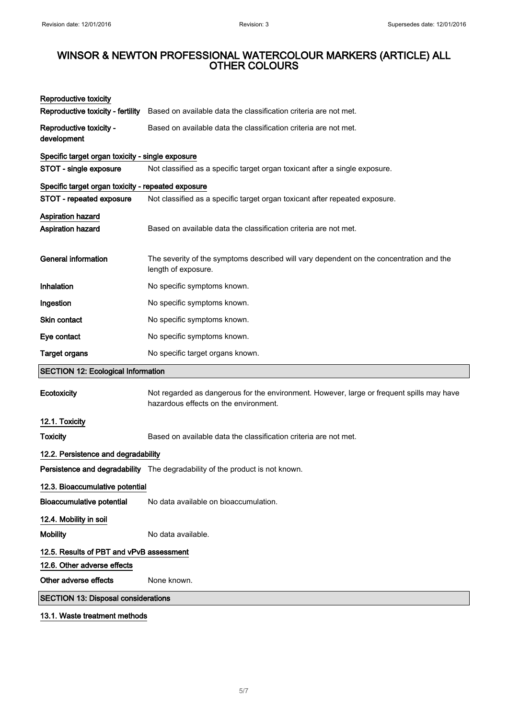| <b>Reproductive toxicity</b>                       |                                                                                                                                    |
|----------------------------------------------------|------------------------------------------------------------------------------------------------------------------------------------|
| Reproductive toxicity - fertility                  | Based on available data the classification criteria are not met.                                                                   |
| Reproductive toxicity -<br>development             | Based on available data the classification criteria are not met.                                                                   |
| Specific target organ toxicity - single exposure   |                                                                                                                                    |
| STOT - single exposure                             | Not classified as a specific target organ toxicant after a single exposure.                                                        |
| Specific target organ toxicity - repeated exposure |                                                                                                                                    |
| STOT - repeated exposure                           | Not classified as a specific target organ toxicant after repeated exposure.                                                        |
| Aspiration hazard                                  |                                                                                                                                    |
| <b>Aspiration hazard</b>                           | Based on available data the classification criteria are not met.                                                                   |
|                                                    |                                                                                                                                    |
| <b>General information</b>                         | The severity of the symptoms described will vary dependent on the concentration and the<br>length of exposure.                     |
| Inhalation                                         | No specific symptoms known.                                                                                                        |
| Ingestion                                          | No specific symptoms known.                                                                                                        |
| Skin contact                                       | No specific symptoms known.                                                                                                        |
| Eye contact                                        | No specific symptoms known.                                                                                                        |
| <b>Target organs</b>                               | No specific target organs known.                                                                                                   |
| <b>SECTION 12: Ecological Information</b>          |                                                                                                                                    |
| Ecotoxicity                                        | Not regarded as dangerous for the environment. However, large or frequent spills may have<br>hazardous effects on the environment. |
| 12.1. Toxicity                                     |                                                                                                                                    |
| <b>Toxicity</b>                                    | Based on available data the classification criteria are not met.                                                                   |
| 12.2. Persistence and degradability                |                                                                                                                                    |
|                                                    | Persistence and degradability The degradability of the product is not known.                                                       |
| 12.3. Bioaccumulative potential                    |                                                                                                                                    |
| <b>Bioaccumulative potential</b>                   | No data available on bioaccumulation.                                                                                              |
| 12.4. Mobility in soil                             |                                                                                                                                    |
| <b>Mobility</b>                                    | No data available.                                                                                                                 |
| 12.5. Results of PBT and vPvB assessment           |                                                                                                                                    |
|                                                    |                                                                                                                                    |
| 12.6. Other adverse effects                        |                                                                                                                                    |
| Other adverse effects                              | None known.                                                                                                                        |

13.1. Waste treatment methods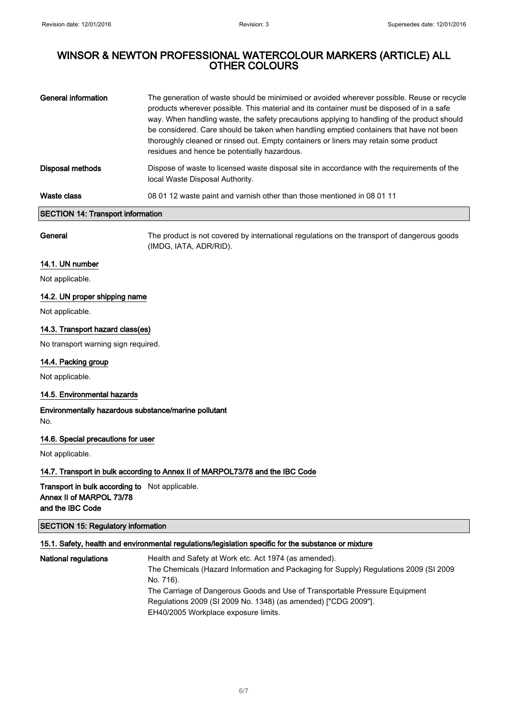| <b>General information</b>               | The generation of waste should be minimised or avoided wherever possible. Reuse or recycle<br>products wherever possible. This material and its container must be disposed of in a safe<br>way. When handling waste, the safety precautions applying to handling of the product should<br>be considered. Care should be taken when handling emptied containers that have not been<br>thoroughly cleaned or rinsed out. Empty containers or liners may retain some product<br>residues and hence be potentially hazardous. |
|------------------------------------------|---------------------------------------------------------------------------------------------------------------------------------------------------------------------------------------------------------------------------------------------------------------------------------------------------------------------------------------------------------------------------------------------------------------------------------------------------------------------------------------------------------------------------|
| <b>Disposal methods</b>                  | Dispose of waste to licensed waste disposal site in accordance with the requirements of the<br>local Waste Disposal Authority.                                                                                                                                                                                                                                                                                                                                                                                            |
| Waste class                              | 08 01 12 waste paint and varnish other than those mentioned in 08 01 11                                                                                                                                                                                                                                                                                                                                                                                                                                                   |
| <b>SECTION 14: Transport information</b> |                                                                                                                                                                                                                                                                                                                                                                                                                                                                                                                           |

General The product is not covered by international regulations on the transport of dangerous goods (IMDG, IATA, ADR/RID).

## 14.1. UN number

Not applicable.

## 14.2. UN proper shipping name

Not applicable.

## 14.3. Transport hazard class(es)

No transport warning sign required.

## 14.4. Packing group

Not applicable.

## 14.5. Environmental hazards

Environmentally hazardous substance/marine pollutant No.

## 14.6. Special precautions for user

Not applicable.

## 14.7. Transport in bulk according to Annex II of MARPOL73/78 and the IBC Code

Transport in bulk according to Not applicable. Annex II of MARPOL 73/78 and the IBC Code

## SECTION 15: Regulatory information

## 15.1. Safety, health and environmental regulations/legislation specific for the substance or mixture

| <b>National regulations</b> | Health and Safety at Work etc. Act 1974 (as amended).                                 |
|-----------------------------|---------------------------------------------------------------------------------------|
|                             | The Chemicals (Hazard Information and Packaging for Supply) Regulations 2009 (SI 2009 |
|                             | No. 716).                                                                             |
|                             | The Carriage of Dangerous Goods and Use of Transportable Pressure Equipment           |
|                             | Regulations 2009 (SI 2009 No. 1348) (as amended) ["CDG 2009"].                        |
|                             | EH40/2005 Workplace exposure limits.                                                  |